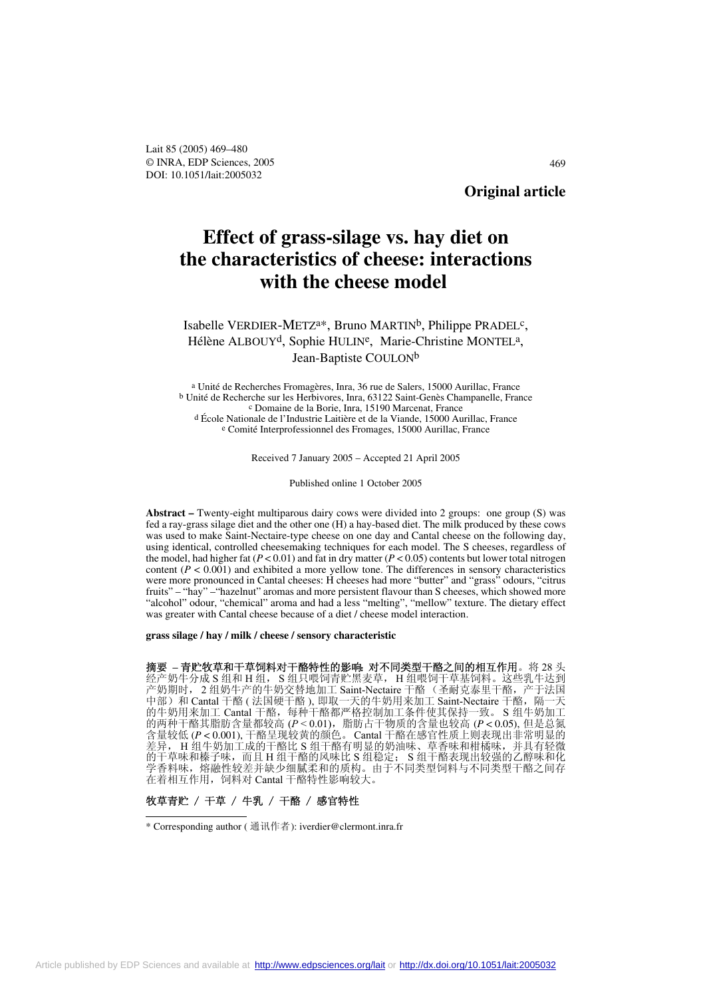Lait 85 (2005) 469–480 © INRA, EDP Sciences, 2005 DOI: 10.1051/lait:2005032

**Original article**

# **Effect of grass-silage vs. hay diet on the characteristics of cheese: interactions with the cheese model**

# Isabelle VERDIER-METZ<sup>a\*</sup>, Bruno MARTIN<sup>b</sup>, Philippe PRADEL<sup>c</sup>, Hélène ALBOUY<sup>d</sup>, Sophie HULIN<sup>e</sup>, Marie-Christine MONTEL<sup>a</sup>, Jean-Baptiste COULON<sup>b</sup>

a Unité de Recherches Fromagères, Inra, 36 rue de Salers, 15000 Aurillac, France <sup>b</sup> Unité de Recherche sur les Herbivores, Inra, 63122 Saint-Genès Champanelle, France <sup>c</sup> Domaine de la Borie, Inra, 15190 Marcenat, France d École Nationale de l'Industrie Laitière et de la Viande, 15000 Aurillac, France e Comité Interprofessionnel des Fromages, 15000 Aurillac, France

Received 7 January 2005 – Accepted 21 April 2005

Published online 1 October 2005

**Abstract –** Twenty-eight multiparous dairy cows were divided into 2 groups: one group (S) was fed a ray-grass silage diet and the other one (H) a hay-based diet. The milk produced by these cows was used to make Saint-Nectaire-type cheese on one day and Cantal cheese on the following day, using identical, controlled cheesemaking techniques for each model. The S cheeses, regardless of the model, had higher fat ( $P < 0.01$ ) and fat in dry matter ( $P < 0.05$ ) contents but lower total nitrogen content  $(P < 0.001)$  and exhibited a more yellow tone. The differences in sensory characteristics were more pronounced in Cantal cheeses: H cheeses had more "butter" and "grass" odours, "citrus fruits" – "hay" –"hazelnut" aromas and more persistent flavour than S cheeses, which showed more "alcohol" odour, "chemical" aroma and had a less "melting", "mellow" texture. The dietary effect was greater with Cantal cheese because of a diet / cheese model interaction.

**grass silage / hay / milk / cheese / sensory characteristic**

摘要 **–** 青贮牧草和干草饲料对干酪特性的影响:对不同类型干酪之间的相互作用。将 28 头 经产奶牛分成 S 组和 H 组, S 组只喂饲青贮黑麦草, H 组喂饲干草基饲料。这些乳牛达到 产奶期时, 2 组奶牛产的牛奶交替地加工 Saint-Nectaire 干酪 (圣耐克泰里干酪,产于法国 中部)和 Cantal 干酪 ( 法国硬干酪 ), 即取一天的牛奶用来加工 Saint-Nectaire 干酪,隔一天 的牛奶用来加工 Cantal 干酪,每种干酪都严格控制加工条件使其保持一致。 S 组牛奶加工 的两种干酪其脂肪含量都较高 (*P* < 0.01), 脂肪占干物质的含量也较高 (*P* < 0.05), 但是总氮 含量较低 (*P* < 0.001), 干酪呈现较黄的颜色。 Cantal 干酪在感官性质上则表现出非常明显的 差异, H 组牛奶加工成的干酪比 S 组干酪有明显的奶油味、草香味和柑橘味,并具有轻微 的干草味和榛子味,而且 H 组干酪的风味比 S 组稳定; S 组干酪表现出较强的乙醇味和化 学香料味,熔融性较差并缺少细腻柔和的质构。由于不同类型饲料与不同类型干酪之间存 在着相互作用,饲料对 Cantal 干酪特性影响较大。

# 牧草青贮 / 干草 / 牛乳 / 干酪 / 感官特性

<sup>\*</sup> Corresponding author ( 通讯作者): iverdier@clermont.inra.fr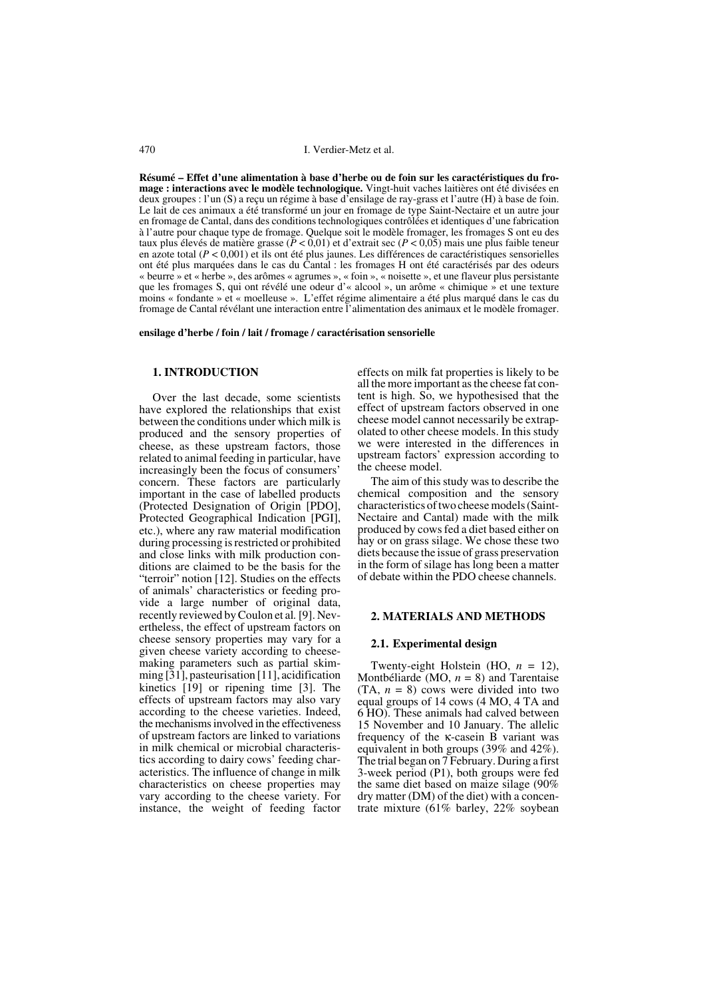**Résumé – Effet d'une alimentation à base d'herbe ou de foin sur les caractéristiques du fromage : interactions avec le modèle technologique.** Vingt-huit vaches laitières ont été divisées en deux groupes : l'un (S) a reçu un régime à base d'ensilage de ray-grass et l'autre (H) à base de foin. Le lait de ces animaux a été transformé un jour en fromage de type Saint-Nectaire et un autre jour en fromage de Cantal, dans des conditions technologiques contrôlées et identiques d'une fabrication à l'autre pour chaque type de fromage. Quelque soit le modèle fromager, les fromages S ont eu des taux plus élevés de matière grasse (*P* < 0,01) et d'extrait sec (*P* < 0,05) mais une plus faible teneur en azote total (*P* < 0,001) et ils ont été plus jaunes. Les différences de caractéristiques sensorielles ont été plus marquées dans le cas du Cantal : les fromages H ont été caractérisés par des odeurs « beurre » et « herbe », des arômes « agrumes », « foin », « noisette », et une flaveur plus persistante que les fromages S, qui ont révélé une odeur d'« alcool », un arôme « chimique » et une texture moins « fondante » et « moelleuse ». L'effet régime alimentaire a été plus marqué dans le cas du fromage de Cantal révélant une interaction entre l'alimentation des animaux et le modèle fromager.

**ensilage d'herbe / foin / lait / fromage / caractérisation sensorielle**

#### **1. INTRODUCTION**

Over the last decade, some scientists have explored the relationships that exist between the conditions under which milk is produced and the sensory properties of cheese, as these upstream factors, those related to animal feeding in particular, have increasingly been the focus of consumers' concern. These factors are particularly important in the case of labelled products (Protected Designation of Origin [PDO], Protected Geographical Indication [PGI], etc.), where any raw material modification during processing is restricted or prohibited and close links with milk production conditions are claimed to be the basis for the "terroir" notion [12]. Studies on the effects of animals' characteristics or feeding provide a large number of original data, recently reviewed by Coulon et al*.* [9]. Nevertheless, the effect of upstream factors on cheese sensory properties may vary for a given cheese variety according to cheesemaking parameters such as partial skimming [31], pasteurisation [11], acidification kinetics [19] or ripening time [3]. The effects of upstream factors may also vary according to the cheese varieties. Indeed, the mechanisms involved in the effectiveness of upstream factors are linked to variations in milk chemical or microbial characteristics according to dairy cows' feeding characteristics. The influence of change in milk characteristics on cheese properties may vary according to the cheese variety. For instance, the weight of feeding factor effects on milk fat properties is likely to be all the more important as the cheese fat content is high. So, we hypothesised that the effect of upstream factors observed in one cheese model cannot necessarily be extrapolated to other cheese models. In this study we were interested in the differences in upstream factors' expression according to the cheese model.

The aim of this study was to describe the chemical composition and the sensory characteristics of two cheese models (Saint-Nectaire and Cantal) made with the milk produced by cows fed a diet based either on hay or on grass silage. We chose these two diets because the issue of grass preservation in the form of silage has long been a matter of debate within the PDO cheese channels.

#### **2. MATERIALS AND METHODS**

#### **2.1. Experimental design**

Twenty-eight Holstein (HO, *n* = 12), Montbéliarde (MO, *n* = 8) and Tarentaise (TA,  $n = 8$ ) cows were divided into two equal groups of 14 cows (4 MO, 4 TA and 6 HO). These animals had calved between 15 November and 10 January. The allelic frequency of the κ-casein B variant was equivalent in both groups (39% and 42%). The trial began on 7 February. During a first 3-week period (P1), both groups were fed the same diet based on maize silage (90% dry matter (DM) of the diet) with a concentrate mixture (61% barley, 22% soybean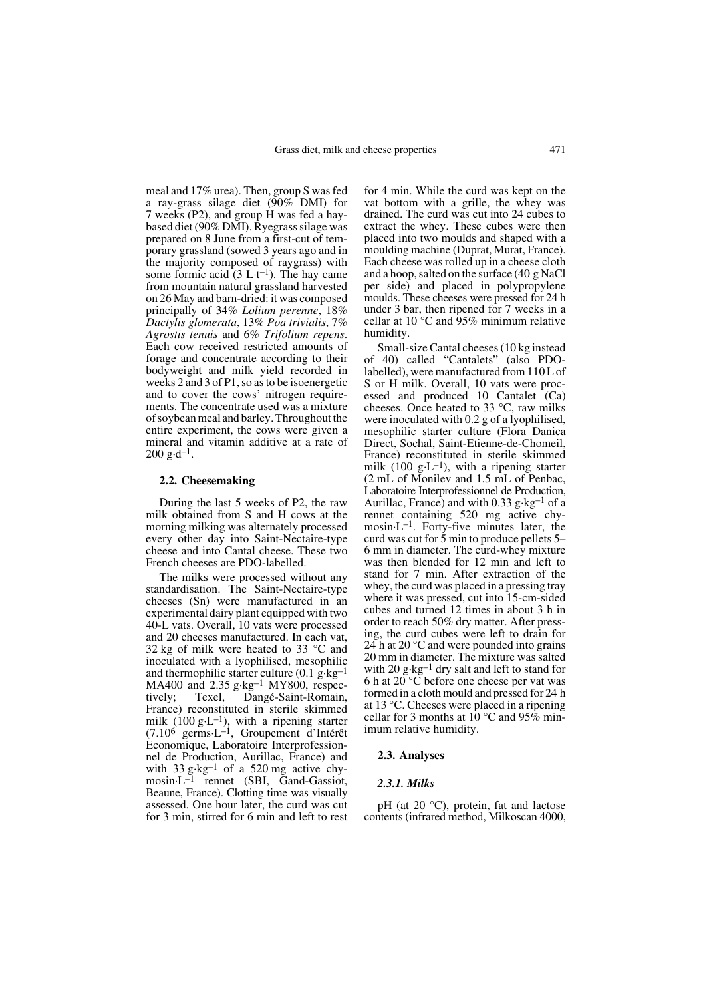meal and 17% urea). Then, group S was fed a ray-grass silage diet  $(\overline{90\%}^{\circ} \text{DMI})$  for 7 weeks (P2), and group H was fed a haybased diet (90% DMI). Ryegrass silage was prepared on 8 June from a first-cut of temporary grassland (sowed 3 years ago and in the majority composed of raygrass) with some formic acid  $(3 L \cdot t^{-1})$ . The hay came from mountain natural grassland harvested on 26 May and barn-dried: it was composed principally of 34% *Lolium perenne*, 18% *Dactylis glomerata*, 13% *Poa trivialis*, 7% *Agrostis tenuis* and 6% *Trifolium repens*. Each cow received restricted amounts of forage and concentrate according to their bodyweight and milk yield recorded in weeks 2 and 3 of P1, so as to be isoenergetic and to cover the cows' nitrogen requirements. The concentrate used was a mixture of soybean meal and barley. Throughout the entire experiment, the cows were given a mineral and vitamin additive at a rate of  $200 \text{ g} \cdot d^{-1}$ .

#### **2.2. Cheesemaking**

During the last 5 weeks of P2, the raw milk obtained from S and H cows at the morning milking was alternately processed every other day into Saint-Nectaire-type cheese and into Cantal cheese. These two French cheeses are PDO-labelled.

The milks were processed without any standardisation. The Saint-Nectaire-type cheeses (Sn) were manufactured in an experimental dairy plant equipped with two 40-L vats. Overall, 10 vats were processed and 20 cheeses manufactured. In each vat, 32 kg of milk were heated to 33 °C and inoculated with a lyophilised, mesophilic and thermophilic starter culture  $(0.1 \text{ g} \cdot \text{kg}^{-1})$ MA400 and 2.35 g·kg–1 MY800, respectively; Texel, Dangé-Saint-Romain, France) reconstituted in sterile skimmed milk  $(100 \text{ g} \cdot \text{L}^{-1})$ , with a ripening starter  $(7.10^6$  germs $L^{-1}$ , Groupement d'Intérêt Economique, Laboratoire Interprofessionnel de Production, Aurillac, France) and with  $33 \text{ g} \cdot \text{kg}^{-1}$  of a 520 mg active chymosin·L<sup>-1</sup> rennet (SBI, Gand-Gassiot, Beaune, France). Clotting time was visually assessed. One hour later, the curd was cut for 3 min, stirred for 6 min and left to rest for 4 min. While the curd was kept on the vat bottom with a grille, the whey was drained. The curd was cut into 24 cubes to extract the whey. These cubes were then placed into two moulds and shaped with a moulding machine (Duprat, Murat, France). Each cheese was rolled up in a cheese cloth and a hoop, salted on the surface (40 g NaCl per side) and placed in polypropylene moulds. These cheeses were pressed for 24 h under 3 bar, then ripened for 7 weeks in a cellar at 10 °C and 95% minimum relative humidity.

Small-size Cantal cheeses (10 kg instead of 40) called "Cantalets" (also PDOlabelled), were manufactured from 110 L of S or H milk. Overall, 10 vats were processed and produced 10 Cantalet (Ca) cheeses. Once heated to 33 °C, raw milks were inoculated with 0.2 g of a lyophilised, mesophilic starter culture (Flora Danica Direct, Sochal, Saint-Etienne-de-Chomeil, France) reconstituted in sterile skimmed milk  $(100 \text{ g-L}^{-1})$ , with a ripening starter (2 mL of Monilev and 1.5 mL of Penbac, Laboratoire Interprofessionnel de Production, Aurillac, France) and with 0.33 g $\text{kg}$ <sup>-1</sup> of a rennet containing 520 mg active chymosin·L–1. Forty-five minutes later, the curd was cut for  $\bar{5}$  min to produce pellets  $5-$ 6 mm in diameter. The curd-whey mixture was then blended for 12 min and left to stand for 7 min. After extraction of the whey, the curd was placed in a pressing tray where it was pressed, cut into 15-cm-sided cubes and turned 12 times in about 3 h in order to reach 50% dry matter. After pressing, the curd cubes were left to drain for  $24$  h at 20 °C and were pounded into grains 20 mm in diameter. The mixture was salted with 20  $g \cdot kg^{-1}$  dry salt and left to stand for 6 h at  $20^{\circ}$ C before one cheese per vat was formed in a cloth mould and pressed for 24 h at 13 °C. Cheeses were placed in a ripening cellar for 3 months at  $10^{\circ}$ C and 95% minimum relative humidity.

#### **2.3. Analyses**

#### *2.3.1. Milks*

pH (at 20 °C), protein, fat and lactose contents (infrared method, Milkoscan 4000,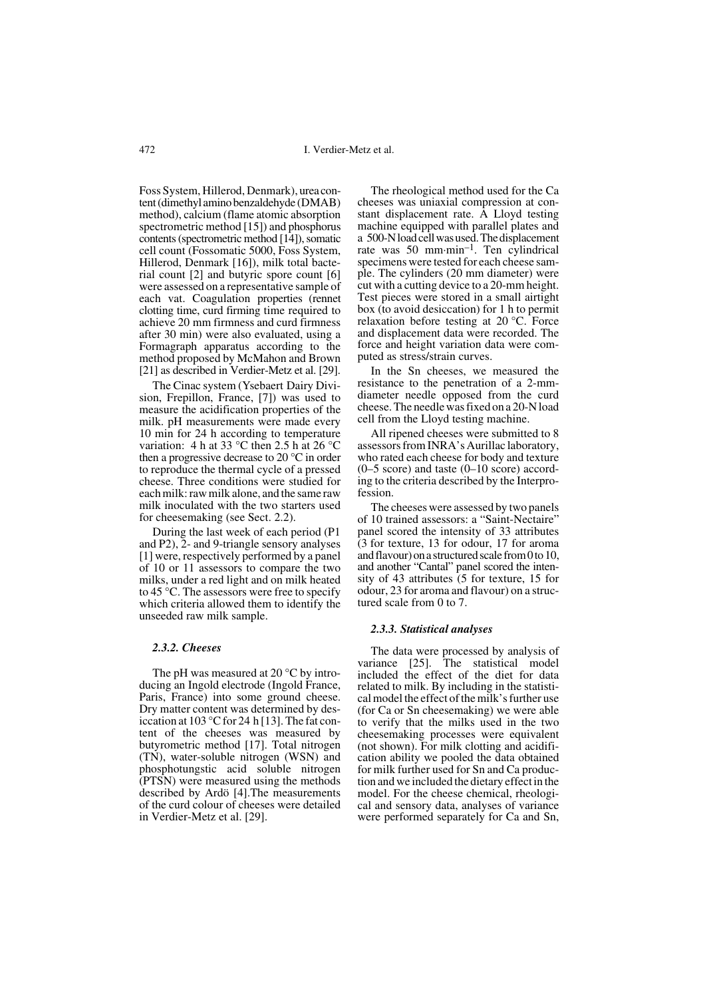Foss System, Hillerod, Denmark), urea content (dimethyl amino benzaldehyde (DMAB) method), calcium (flame atomic absorption spectrometric method [15]) and phosphorus contents (spectrometric method [14]), somatic cell count (Fossomatic 5000, Foss System, Hillerod, Denmark [16]), milk total bacterial count [2] and butyric spore count [6] were assessed on a representative sample of each vat. Coagulation properties (rennet clotting time, curd firming time required to achieve 20 mm firmness and curd firmness after 30 min) were also evaluated, using a Formagraph apparatus according to the method proposed by McMahon and Brown [21] as described in Verdier-Metz et al. [29].

The Cinac system (Ysebaert Dairy Division, Frepillon, France, [7]) was used to measure the acidification properties of the milk. pH measurements were made every 10 min for 24 h according to temperature variation: 4 h at 33 °C then 2.5 h at 26 °C then a progressive decrease to 20 °C in order to reproduce the thermal cycle of a pressed cheese. Three conditions were studied for each milk: raw milk alone, and the same raw milk inoculated with the two starters used for cheesemaking (see Sect. 2.2).

During the last week of each period (P1 and P2), 2- and 9-triangle sensory analyses [1] were, respectively performed by a panel of 10 or 11 assessors to compare the two milks, under a red light and on milk heated to 45 °C. The assessors were free to specify which criteria allowed them to identify the unseeded raw milk sample.

#### *2.3.2. Cheeses*

The pH was measured at 20 °C by introducing an Ingold electrode (Ingold France, Paris, France) into some ground cheese. Dry matter content was determined by desiccation at 103 °C for 24 h [13]. The fat content of the cheeses was measured by butyrometric method [17]. Total nitrogen (TN), water-soluble nitrogen (WSN) and phosphotungstic acid soluble nitrogen (PTSN) were measured using the methods described by Ardö [4].The measurements of the curd colour of cheeses were detailed in Verdier-Metz et al. [29].

The rheological method used for the Ca cheeses was uniaxial compression at constant displacement rate. A Lloyd testing machine equipped with parallel plates and a 500-N load cell was used. The displacement rate was 50 mm·min–1. Ten cylindrical specimens were tested for each cheese sample. The cylinders (20 mm diameter) were cut with a cutting device to a 20-mm height. Test pieces were stored in a small airtight box (to avoid desiccation) for 1 h to permit relaxation before testing at 20 °C. Force and displacement data were recorded. The force and height variation data were computed as stress/strain curves.

In the Sn cheeses, we measured the resistance to the penetration of a 2-mmdiameter needle opposed from the curd cheese. The needle was fixed on a 20-N load cell from the Lloyd testing machine.

All ripened cheeses were submitted to 8 assessors from INRA's Aurillac laboratory, who rated each cheese for body and texture  $(0-5 \text{ score})$  and taste  $(0-10 \text{ score})$  according to the criteria described by the Interprofession.

The cheeses were assessed by two panels of 10 trained assessors: a "Saint-Nectaire" panel scored the intensity of 33 attributes (3 for texture, 13 for odour, 17 for aroma and flavour) on a structured scale from 0 to 10, and another "Cantal" panel scored the intensity of 43 attributes (5 for texture, 15 for odour, 23 for aroma and flavour) on a structured scale from 0 to 7.

#### *2.3.3. Statistical analyses*

The data were processed by analysis of variance [25]. The statistical model included the effect of the diet for data related to milk. By including in the statistical model the effect of the milk's further use (for Ca or Sn cheesemaking) we were able to verify that the milks used in the two cheesemaking processes were equivalent (not shown). For milk clotting and acidification ability we pooled the data obtained for milk further used for Sn and Ca production and we included the dietary effect in the model. For the cheese chemical, rheological and sensory data, analyses of variance were performed separately for Ca and Sn,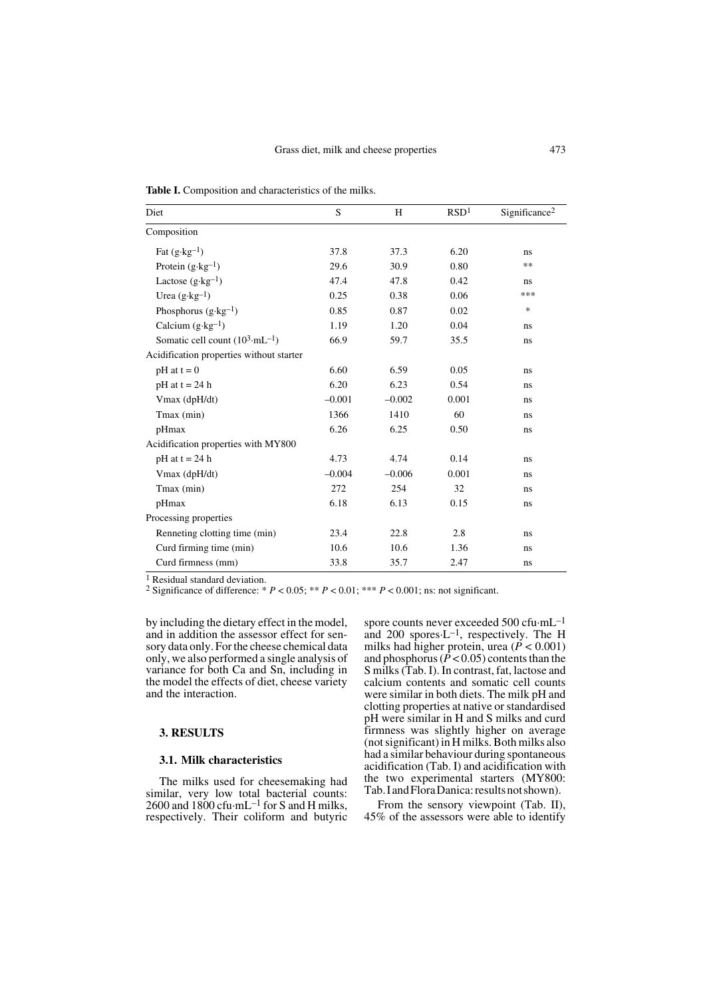Table I. Composition and characteristics of the milks.

| Diet                                        | S        | H        | RSD <sup>1</sup> | Significance <sup>2</sup> |
|---------------------------------------------|----------|----------|------------------|---------------------------|
| Composition                                 |          |          |                  |                           |
| Fat $(g \cdot kg^{-1})$                     | 37.8     | 37.3     | 6.20             | ns                        |
| Protein $(g \cdot kg^{-1})$                 | 29.6     | 30.9     | 0.80             | **                        |
| Lactose $(g \cdot kg^{-1})$                 | 47.4     | 47.8     | 0.42             | ns                        |
| Urea $(g \cdot kg^{-1})$                    | 0.25     | 0.38     | 0.06             | ***                       |
| Phosphorus $(g \cdot kg^{-1})$              | 0.85     | 0.87     | 0.02             | *                         |
| Calcium $(g \cdot kg^{-1})$                 | 1.19     | 1.20     | 0.04             | ns                        |
| Somatic cell count $(10^3 \text{·mL}^{-1})$ | 66.9     | 59.7     | 35.5             | ns                        |
| Acidification properties without starter    |          |          |                  |                           |
| $pH$ at $t = 0$                             | 6.60     | 6.59     | 0.05             | ns                        |
| $pH$ at $t = 24$ h                          | 6.20     | 6.23     | 0.54             | ns                        |
| Vmax (dpH/dt)                               | $-0.001$ | $-0.002$ | 0.001            | ns                        |
| Tmax (min)                                  | 1366     | 1410     | 60               | ns                        |
| pHmax                                       | 6.26     | 6.25     | 0.50             | ns                        |
| Acidification properties with MY800         |          |          |                  |                           |
| $pH$ at $t = 24$ h                          | 4.73     | 4.74     | 0.14             | ns                        |
| Vmax (dpH/dt)                               | $-0.004$ | $-0.006$ | 0.001            | ns                        |
| Tmax (min)                                  | 272      | 254      | 32               | ns                        |
| pHmax                                       | 6.18     | 6.13     | 0.15             | ns                        |
| Processing properties                       |          |          |                  |                           |
| Renneting clotting time (min)               | 23.4     | 22.8     | 2.8              | ns                        |
| Curd firming time (min)                     | 10.6     | 10.6     | 1.36             | ns                        |
| Curd firmness (mm)                          | 33.8     | 35.7     | 2.47             | ns                        |

1 Residual standard deviation.

2 Significance of difference: \* *P* < 0.05; \*\* *P* < 0.01; \*\*\* *P* < 0.001; ns: not significant.

by including the dietary effect in the model, and in addition the assessor effect for sensory data only. For the cheese chemical data only, we also performed a single analysis of variance for both Ca and Sn, including in the model the effects of diet, cheese variety and the interaction.

# **3. RESULTS**

#### **3.1. Milk characteristics**

The milks used for cheesemaking had similar, very low total bacterial counts: 2600 and 1800 cfu $\cdot$ mL<sup>-1</sup> for S and H milks, respectively. Their coliform and butyric spore counts never exceeded 500 cfu·mL–1 and 200 spores $-L^{-1}$ , respectively. The H milks had higher protein, urea (*P* < 0.001) and phosphorus (*P* < 0.05) contents than the S milks (Tab. I). In contrast, fat, lactose and calcium contents and somatic cell counts were similar in both diets. The milk pH and clotting properties at native or standardised pH were similar in H and S milks and curd firmness was slightly higher on average (not significant) in H milks. Both milks also had a similar behaviour during spontaneous acidification (Tab. I) and acidification with the two experimental starters (MY800: Tab. I and Flora Danica: results not shown).

From the sensory viewpoint (Tab. II), 45% of the assessors were able to identify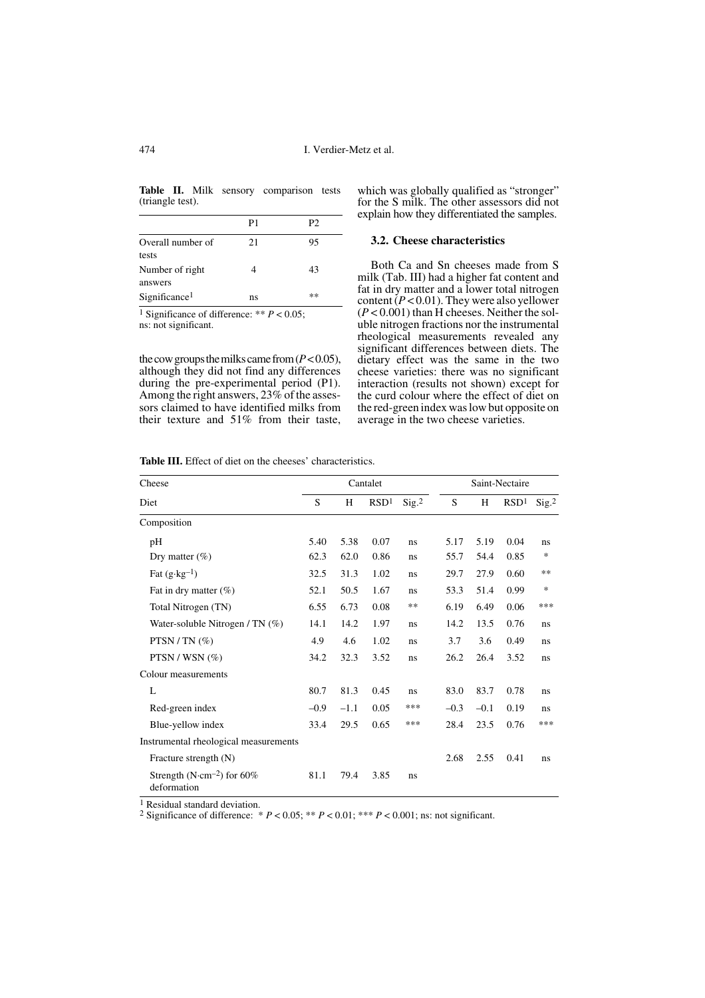**Table II.** Milk sensory comparison tests (triangle test).

|                           | P1 | P <sub>2</sub> |
|---------------------------|----|----------------|
| Overall number of         | 21 | 95             |
| tests                     |    |                |
| Number of right           |    | 43             |
| answers                   |    |                |
| Significance <sup>1</sup> | ns | $**$           |

1 Significance of difference: \*\* *P* < 0.05; ns: not significant.

the cow groups the milks came from  $(P<0.05)$ , although they did not find any differences during the pre-experimental period (P1). Among the right answers, 23% of the assessors claimed to have identified milks from their texture and 51% from their taste,

which was globally qualified as "stronger" for the S milk. The other assessors did not explain how they differentiated the samples.

# **3.2. Cheese characteristics**

Both Ca and Sn cheeses made from S milk (Tab. III) had a higher fat content and fat in dry matter and a lower total nitrogen content  $(P<0.01)$ . They were also yellower  $(P < 0.001)$  than H cheeses. Neither the soluble nitrogen fractions nor the instrumental rheological measurements revealed any significant differences between diets. The dietary effect was the same in the two cheese varieties: there was no significant interaction (results not shown) except for the curd colour where the effect of diet on the red-green index was low but opposite on average in the two cheese varieties.

|  |  |  |  |  |  |  | <b>Table III.</b> Effect of diet on the cheeses' characteristics. |
|--|--|--|--|--|--|--|-------------------------------------------------------------------|
|--|--|--|--|--|--|--|-------------------------------------------------------------------|

| Cheese                                                   |        |        | Cantalet         |                   | Saint-Nectaire |        |                  |                   |
|----------------------------------------------------------|--------|--------|------------------|-------------------|----------------|--------|------------------|-------------------|
| Diet                                                     | S      | H      | RSD <sup>1</sup> | $\mathrm{Sig.}^2$ | S              | H      | RSD <sup>1</sup> | $\mathrm{Sig.}^2$ |
| Composition                                              |        |        |                  |                   |                |        |                  |                   |
| pН                                                       | 5.40   | 5.38   | 0.07             | ns                | 5.17           | 5.19   | 0.04             | ns                |
| Dry matter $(\%)$                                        | 62.3   | 62.0   | 0.86             | ns                | 55.7           | 54.4   | 0.85             | *                 |
| Fat $(g \cdot kg^{-1})$                                  | 32.5   | 31.3   | 1.02             | ns                | 29.7           | 27.9   | 0.60             | $**$              |
| Fat in dry matter $(\%)$                                 | 52.1   | 50.5   | 1.67             | ns                | 53.3           | 51.4   | 0.99             | ∗                 |
| Total Nitrogen (TN)                                      | 6.55   | 6.73   | 0.08             | $***$             | 6.19           | 6.49   | 0.06             | ***               |
| Water-soluble Nitrogen / TN $(\%)$                       | 14.1   | 14.2   | 1.97             | ns                | 14.2           | 13.5   | 0.76             | ns                |
| PTSN / TN $(\% )$                                        | 4.9    | 4.6    | 1.02             | ns                | 3.7            | 3.6    | 0.49             | ns                |
| PTSN / WSN $(\%)$                                        | 34.2   | 32.3   | 3.52             | ns                | 26.2           | 26.4   | 3.52             | ns                |
| Colour measurements                                      |        |        |                  |                   |                |        |                  |                   |
| L                                                        | 80.7   | 81.3   | 0.45             | ns                | 83.0           | 83.7   | 0.78             | ns                |
| Red-green index                                          | $-0.9$ | $-1.1$ | 0.05             | ***               | $-0.3$         | $-0.1$ | 0.19             | ns                |
| Blue-yellow index                                        | 33.4   | 29.5   | 0.65             | ***               | 28.4           | 23.5   | 0.76             | ***               |
| Instrumental rheological measurements                    |        |        |                  |                   |                |        |                  |                   |
| Fracture strength (N)                                    |        |        |                  |                   | 2.68           | 2.55   | 0.41             | ns                |
| Strength (N·cm <sup>-2</sup> ) for $60\%$<br>deformation | 81.1   | 79.4   | 3.85             | ns                |                |        |                  |                   |

1 Residual standard deviation.

2 Significance of difference: \* *P* < 0.05; \*\* *P* < 0.01; \*\*\* *P* < 0.001; ns: not significant.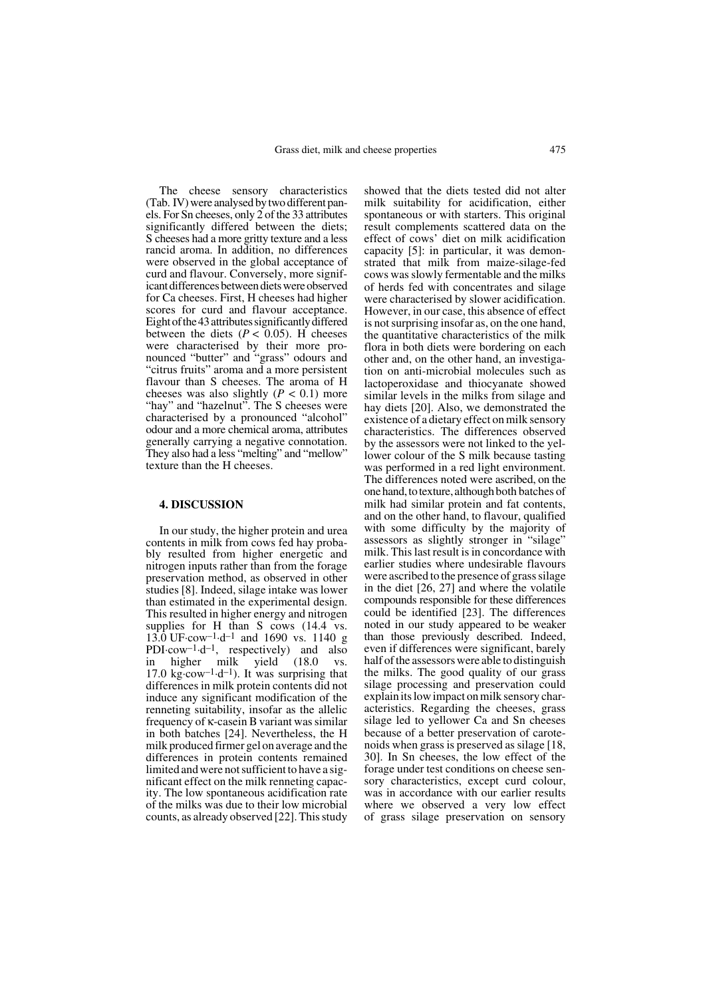The cheese sensory characteristics (Tab. IV) were analysed by two different panels. For Sn cheeses, only 2 of the 33 attributes significantly differed between the diets; S cheeses had a more gritty texture and a less rancid aroma. In addition, no differences were observed in the global acceptance of curd and flavour. Conversely, more significant differences between diets were observed for Ca cheeses. First, H cheeses had higher scores for curd and flavour acceptance. Eight of the 43 attributes significantly differed between the diets ( $P < 0.05$ ). H cheeses were characterised by their more pronounced "butter" and "grass" odours and "citrus fruits" aroma and a more persistent flavour than S cheeses. The aroma of H cheeses was also slightly  $(P < 0.1)$  more "hay" and "hazelnut". The S cheeses were characterised by a pronounced "alcohol" odour and a more chemical aroma, attributes generally carrying a negative connotation. They also had a less "melting" and "mellow" texture than the H cheeses.

#### **4. DISCUSSION**

In our study, the higher protein and urea contents in milk from cows fed hay probably resulted from higher energetic and nitrogen inputs rather than from the forage preservation method, as observed in other studies [8]. Indeed, silage intake was lower than estimated in the experimental design. This resulted in higher energy and nitrogen supplies for H than S cows (14.4 vs. 13.0 UF·cow–1·d–1 and 1690 vs. 1140 g PDI $\text{row}^{-1} \cdot d^{-1}$ , respectively) and also in higher milk yield (18.0 vs. 17.0 kg·cow<sup>-1</sup>·d<sup>-1</sup>). It was surprising that differences in milk protein contents did not induce any significant modification of the renneting suitability, insofar as the allelic frequency of κ-casein B variant was similar in both batches [24]. Nevertheless, the H milk produced firmer gel on average and the differences in protein contents remained limited and were not sufficient to have a significant effect on the milk renneting capacity. The low spontaneous acidification rate of the milks was due to their low microbial counts, as already observed [22]. This study

showed that the diets tested did not alter milk suitability for acidification, either spontaneous or with starters. This original result complements scattered data on the effect of cows' diet on milk acidification capacity [5]: in particular, it was demonstrated that milk from maize-silage-fed cows was slowly fermentable and the milks of herds fed with concentrates and silage were characterised by slower acidification. However, in our case, this absence of effect is not surprising insofar as, on the one hand, the quantitative characteristics of the milk flora in both diets were bordering on each other and, on the other hand, an investigation on anti-microbial molecules such as lactoperoxidase and thiocyanate showed similar levels in the milks from silage and hay diets [20]. Also, we demonstrated the existence of a dietary effect on milk sensory characteristics. The differences observed by the assessors were not linked to the yellower colour of the S milk because tasting was performed in a red light environment. The differences noted were ascribed, on the one hand, to texture, although both batches of milk had similar protein and fat contents, and on the other hand, to flavour, qualified with some difficulty by the majority of assessors as slightly stronger in "silage" milk. This last result is in concordance with earlier studies where undesirable flavours were ascribed to the presence of grass silage in the diet [26, 27] and where the volatile compounds responsible for these differences could be identified [23]. The differences noted in our study appeared to be weaker than those previously described. Indeed, even if differences were significant, barely half of the assessors were able to distinguish the milks. The good quality of our grass silage processing and preservation could explain its low impact on milk sensory characteristics. Regarding the cheeses, grass silage led to yellower Ca and Sn cheeses because of a better preservation of carotenoids when grass is preserved as silage [18, 30]. In Sn cheeses, the low effect of the forage under test conditions on cheese sensory characteristics, except curd colour, was in accordance with our earlier results where we observed a very low effect of grass silage preservation on sensory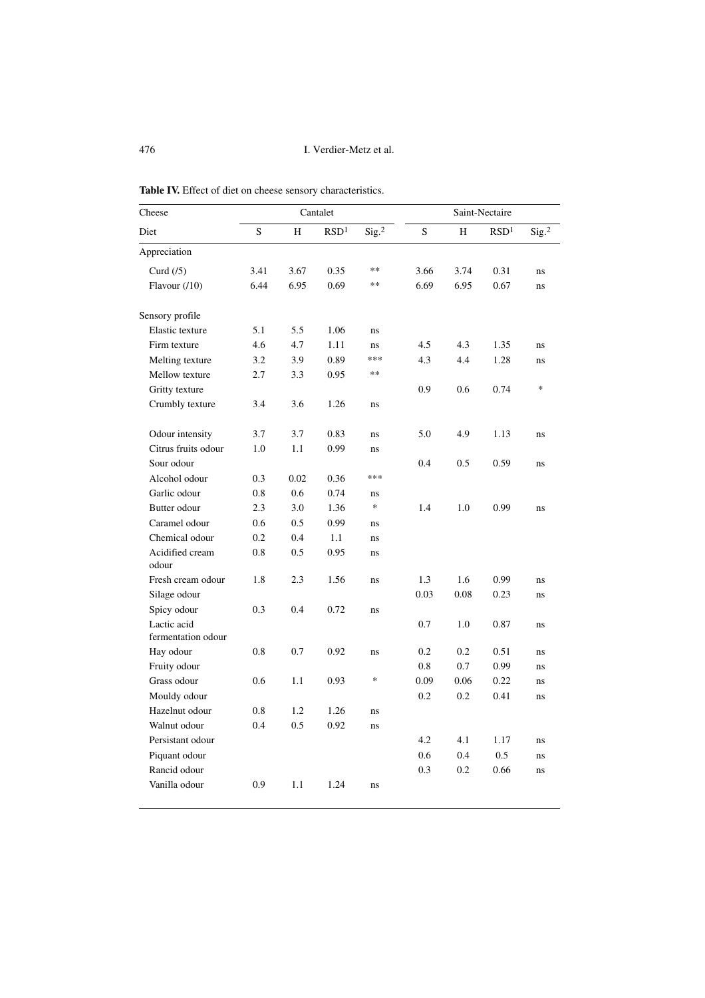| Cheese                            |      |      | Cantalet         |                   | Saint-Nectaire |      |                  |                   |  |
|-----------------------------------|------|------|------------------|-------------------|----------------|------|------------------|-------------------|--|
| Diet                              | S    | H    | RSD <sup>1</sup> | Sig. <sup>2</sup> | S              | H    | RSD <sup>1</sup> | Sig. <sup>2</sup> |  |
| Appreciation                      |      |      |                  |                   |                |      |                  |                   |  |
| Curd $(75)$                       | 3.41 | 3.67 | 0.35             | **                | 3.66           | 3.74 | 0.31             | ns                |  |
| Flavour $(10)$                    | 6.44 | 6.95 | 0.69             | $**$              | 6.69           | 6.95 | 0.67             | ns                |  |
| Sensory profile                   |      |      |                  |                   |                |      |                  |                   |  |
| Elastic texture                   | 5.1  | 5.5  | 1.06             | ns                |                |      |                  |                   |  |
| Firm texture                      | 4.6  | 4.7  | 1.11             | ns                | 4.5            | 4.3  | 1.35             | ns                |  |
| Melting texture                   | 3.2  | 3.9  | 0.89             | ***               | 4.3            | 4.4  | 1.28             | ns                |  |
| Mellow texture                    | 2.7  | 3.3  | 0.95             | **                |                |      |                  |                   |  |
| Gritty texture                    |      |      |                  |                   | 0.9            | 0.6  | 0.74             | $\ast$            |  |
| Crumbly texture                   | 3.4  | 3.6  | 1.26             | ns                |                |      |                  |                   |  |
| Odour intensity                   | 3.7  | 3.7  | 0.83             | ns                | 5.0            | 4.9  | 1.13             | ns                |  |
| Citrus fruits odour               | 1.0  | 1.1  | 0.99             | ns                |                |      |                  |                   |  |
| Sour odour                        |      |      |                  |                   | 0.4            | 0.5  | 0.59             | ns                |  |
| Alcohol odour                     | 0.3  | 0.02 | 0.36             | ***               |                |      |                  |                   |  |
| Garlic odour                      | 0.8  | 0.6  | 0.74             | ns                |                |      |                  |                   |  |
| Butter odour                      | 2.3  | 3.0  | 1.36             | $\ast$            | 1.4            | 1.0  | 0.99             | ns                |  |
| Caramel odour                     | 0.6  | 0.5  | 0.99             | ns                |                |      |                  |                   |  |
| Chemical odour                    | 0.2  | 0.4  | 1.1              | ns                |                |      |                  |                   |  |
| Acidified cream<br>odour          | 0.8  | 0.5  | 0.95             | ns                |                |      |                  |                   |  |
| Fresh cream odour                 | 1.8  | 2.3  | 1.56             | ns                | 1.3            | 1.6  | 0.99             | ns                |  |
| Silage odour                      |      |      |                  |                   | 0.03           | 0.08 | 0.23             | ns                |  |
| Spicy odour                       | 0.3  | 0.4  | 0.72             | ns                |                |      |                  |                   |  |
| Lactic acid<br>fermentation odour |      |      |                  |                   | 0.7            | 1.0  | 0.87             | ns                |  |
| Hay odour                         | 0.8  | 0.7  | 0.92             | ns                | 0.2            | 0.2  | 0.51             | ns                |  |
| Fruity odour                      |      |      |                  |                   | 0.8            | 0.7  | 0.99             | ns                |  |
| Grass odour                       | 0.6  | 1.1  | 0.93             | $\ast$            | 0.09           | 0.06 | 0.22             | ns                |  |
| Mouldy odour                      |      |      |                  |                   | 0.2            | 0.2  | 0.41             | ns                |  |
| Hazelnut odour                    | 0.8  | 1.2  | 1.26             | ns                |                |      |                  |                   |  |
| Walnut odour                      | 0.4  | 0.5  | 0.92             | ns                |                |      |                  |                   |  |
| Persistant odour                  |      |      |                  |                   | 4.2            | 4.1  | 1.17             | ns                |  |
| Piquant odour                     |      |      |                  |                   | 0.6            | 0.4  | 0.5              | ns                |  |
| Rancid odour                      |      |      |                  |                   | 0.3            | 0.2  | 0.66             | ns                |  |
| Vanilla odour                     | 0.9  | 1.1  | 1.24             | ns                |                |      |                  |                   |  |

# **Table IV.** Effect of diet on cheese sensory characteristics.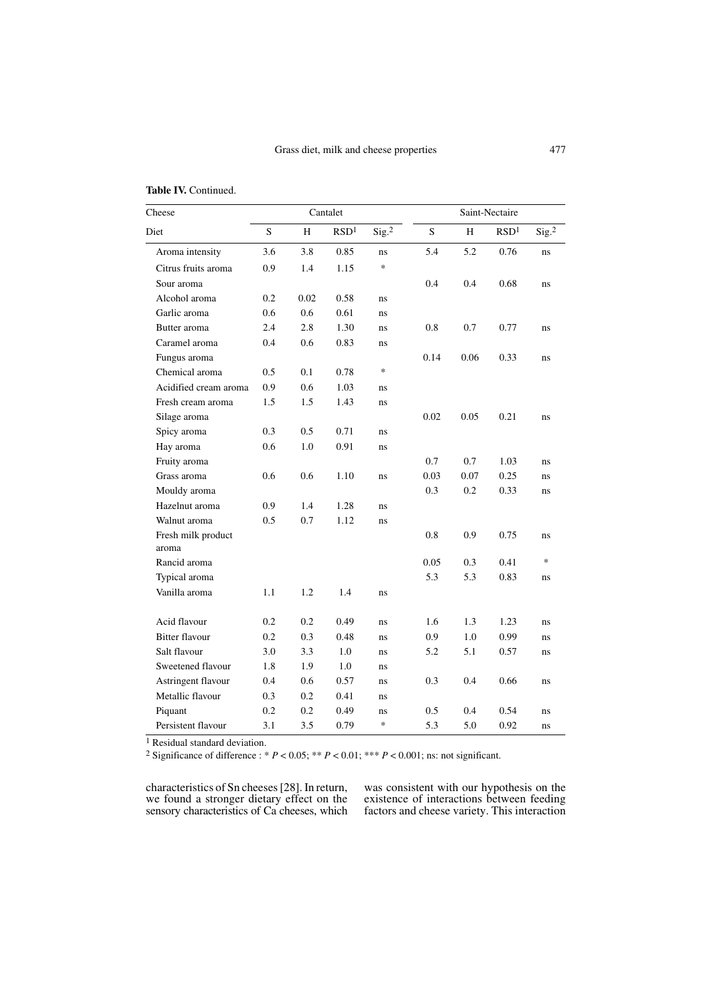| Cheese                      |     |      | Cantalet         |                   | Saint-Nectaire |      |                  |                   |  |
|-----------------------------|-----|------|------------------|-------------------|----------------|------|------------------|-------------------|--|
| Diet                        | S   | Η    | RSD <sup>1</sup> | Sig. <sup>2</sup> | S              | Η    | RSD <sup>1</sup> | Sig. <sup>2</sup> |  |
| Aroma intensity             | 3.6 | 3.8  | 0.85             | ns                | 5.4            | 5.2  | 0.76             | ns                |  |
| Citrus fruits aroma         | 0.9 | 1.4  | 1.15             | *                 |                |      |                  |                   |  |
| Sour aroma                  |     |      |                  |                   | 0.4            | 0.4  | 0.68             | ns                |  |
| Alcohol aroma               | 0.2 | 0.02 | 0.58             | ns                |                |      |                  |                   |  |
| Garlic aroma                | 0.6 | 0.6  | 0.61             | ns                |                |      |                  |                   |  |
| Butter aroma                | 2.4 | 2.8  | 1.30             | ns                | 0.8            | 0.7  | 0.77             | ns                |  |
| Caramel aroma               | 0.4 | 0.6  | 0.83             | ns                |                |      |                  |                   |  |
| Fungus aroma                |     |      |                  |                   | 0.14           | 0.06 | 0.33             | ns                |  |
| Chemical aroma              | 0.5 | 0.1  | 0.78             | *                 |                |      |                  |                   |  |
| Acidified cream aroma       | 0.9 | 0.6  | 1.03             | ns                |                |      |                  |                   |  |
| Fresh cream aroma           | 1.5 | 1.5  | 1.43             | ns                |                |      |                  |                   |  |
| Silage aroma                |     |      |                  |                   | 0.02           | 0.05 | 0.21             | ns                |  |
| Spicy aroma                 | 0.3 | 0.5  | 0.71             | ns                |                |      |                  |                   |  |
| Hay aroma                   | 0.6 | 1.0  | 0.91             | ns                |                |      |                  |                   |  |
| Fruity aroma                |     |      |                  |                   | 0.7            | 0.7  | 1.03             | ns                |  |
| Grass aroma                 | 0.6 | 0.6  | 1.10             | ns                | 0.03           | 0.07 | 0.25             | ns                |  |
| Mouldy aroma                |     |      |                  |                   | 0.3            | 0.2  | 0.33             | ns                |  |
| Hazelnut aroma              | 0.9 | 1.4  | 1.28             | ns                |                |      |                  |                   |  |
| Walnut aroma                | 0.5 | 0.7  | 1.12             | ns                |                |      |                  |                   |  |
| Fresh milk product<br>aroma |     |      |                  |                   | 0.8            | 0.9  | 0.75             | ns                |  |
| Rancid aroma                |     |      |                  |                   | 0.05           | 0.3  | 0.41             | $\ast$            |  |
| Typical aroma               |     |      |                  |                   | 5.3            | 5.3  | 0.83             | ns                |  |
| Vanilla aroma               | 1.1 | 1.2  | 1.4              | ns                |                |      |                  |                   |  |
| Acid flavour                | 0.2 | 0.2  | 0.49             | ns                | 1.6            | 1.3  | 1.23             | ns                |  |
| <b>Bitter flavour</b>       | 0.2 | 0.3  | 0.48             | ns                | 0.9            | 1.0  | 0.99             | ns                |  |
| Salt flavour                | 3.0 | 3.3  | 1.0              | ns                | 5.2            | 5.1  | 0.57             | ns                |  |
| Sweetened flavour           | 1.8 | 1.9  | 1.0              | ns                |                |      |                  |                   |  |
| Astringent flavour          | 0.4 | 0.6  | 0.57             | ns.               | 0.3            | 0.4  | 0.66             | ns                |  |
| Metallic flavour            | 0.3 | 0.2  | 0.41             | ns.               |                |      |                  |                   |  |
| Piquant                     | 0.2 | 0.2  | 0.49             | ns                | 0.5            | 0.4  | 0.54             | ns                |  |
| Persistent flavour          | 3.1 | 3.5  | 0.79             | *                 | 5.3            | 5.0  | 0.92             | ns                |  |

# Table IV. Continued.

1 Residual standard deviation.

<sup>2</sup> Significance of difference : \* *P* < 0.05; \*\* *P* < 0.01; \*\*\* *P* < 0.001; ns: not significant.

characteristics of Sn cheeses [28]. In return, we found a stronger dietary effect on the sensory characteristics of Ca cheeses, which

was consistent with our hypothesis on the existence of interactions between feeding factors and cheese variety. This interaction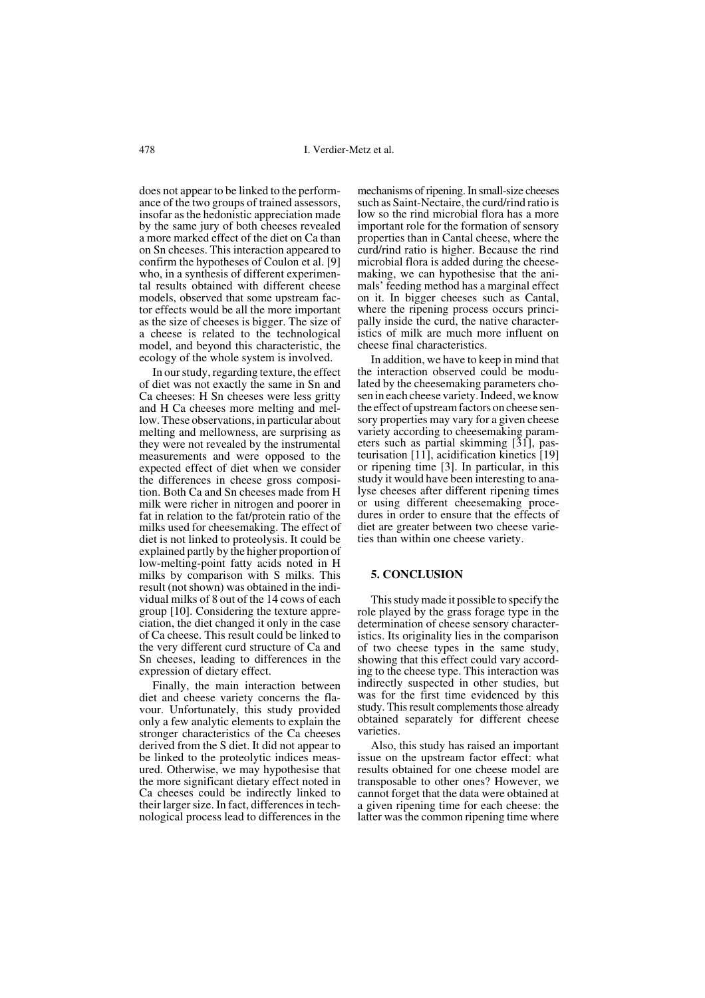does not appear to be linked to the performance of the two groups of trained assessors, insofar as the hedonistic appreciation made by the same jury of both cheeses revealed a more marked effect of the diet on Ca than on Sn cheeses. This interaction appeared to confirm the hypotheses of Coulon et al. [9] who, in a synthesis of different experimental results obtained with different cheese models, observed that some upstream factor effects would be all the more important as the size of cheeses is bigger. The size of a cheese is related to the technological model, and beyond this characteristic, the ecology of the whole system is involved.

In our study, regarding texture, the effect of diet was not exactly the same in Sn and Ca cheeses: H Sn cheeses were less gritty and H Ca cheeses more melting and mellow. These observations, in particular about melting and mellowness, are surprising as they were not revealed by the instrumental measurements and were opposed to the expected effect of diet when we consider the differences in cheese gross composition. Both Ca and Sn cheeses made from H milk were richer in nitrogen and poorer in fat in relation to the fat/protein ratio of the milks used for cheesemaking. The effect of diet is not linked to proteolysis. It could be explained partly by the higher proportion of low-melting-point fatty acids noted in H milks by comparison with S milks. This result (not shown) was obtained in the individual milks of 8 out of the 14 cows of each group [10]. Considering the texture appreciation, the diet changed it only in the case of Ca cheese. This result could be linked to the very different curd structure of Ca and Sn cheeses, leading to differences in the expression of dietary effect.

Finally, the main interaction between diet and cheese variety concerns the flavour. Unfortunately, this study provided only a few analytic elements to explain the stronger characteristics of the Ca cheeses derived from the S diet. It did not appear to be linked to the proteolytic indices measured. Otherwise, we may hypothesise that the more significant dietary effect noted in Ca cheeses could be indirectly linked to their larger size. In fact, differences in technological process lead to differences in the

mechanisms of ripening. In small-size cheeses such as Saint-Nectaire, the curd/rind ratio is low so the rind microbial flora has a more important role for the formation of sensory properties than in Cantal cheese, where the curd/rind ratio is higher. Because the rind microbial flora is added during the cheesemaking, we can hypothesise that the animals' feeding method has a marginal effect on it. In bigger cheeses such as Cantal, where the ripening process occurs principally inside the curd, the native characteristics of milk are much more influent on cheese final characteristics.

In addition, we have to keep in mind that the interaction observed could be modulated by the cheesemaking parameters chosen in each cheese variety. Indeed, we know the effect of upstream factors on cheese sensory properties may vary for a given cheese variety according to cheesemaking parameters such as partial skimming [31], pasteurisation [11], acidification kinetics [19] or ripening time [3]. In particular, in this study it would have been interesting to analyse cheeses after different ripening times or using different cheesemaking procedures in order to ensure that the effects of diet are greater between two cheese varieties than within one cheese variety.

#### **5. CONCLUSION**

This study made it possible to specify the role played by the grass forage type in the determination of cheese sensory characteristics. Its originality lies in the comparison of two cheese types in the same study, showing that this effect could vary according to the cheese type. This interaction was indirectly suspected in other studies, but was for the first time evidenced by this study. This result complements those already obtained separately for different cheese varieties.

Also, this study has raised an important issue on the upstream factor effect: what results obtained for one cheese model are transposable to other ones? However, we cannot forget that the data were obtained at a given ripening time for each cheese: the latter was the common ripening time where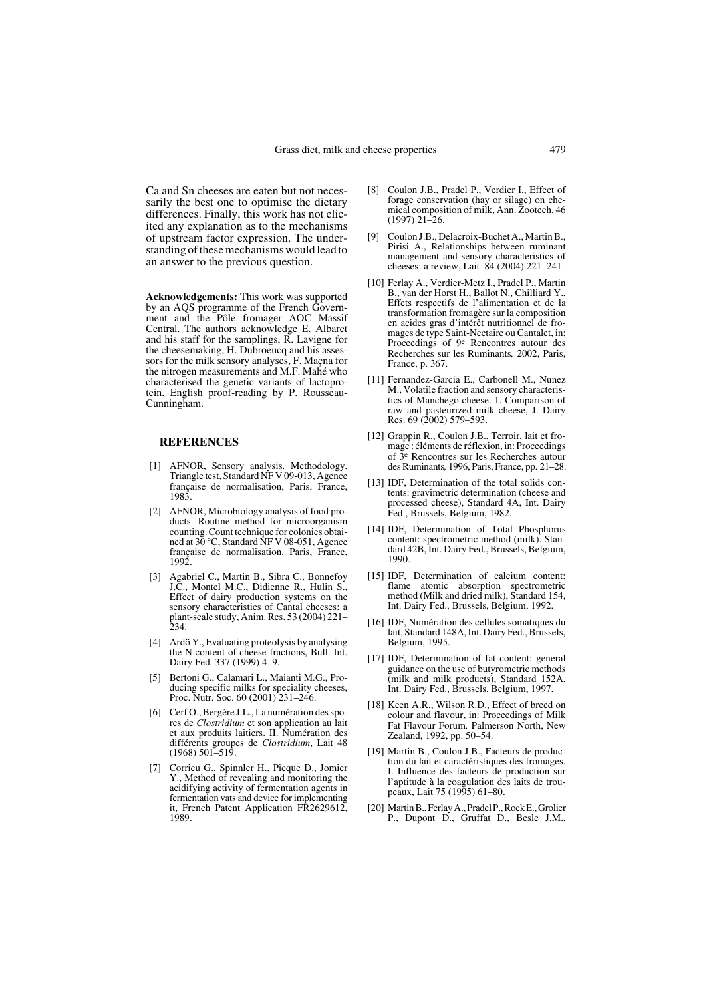Ca and Sn cheeses are eaten but not necessarily the best one to optimise the dietary differences. Finally, this work has not elicited any explanation as to the mechanisms of upstream factor expression. The understanding of these mechanisms would lead to an answer to the previous question.

**Acknowledgements:** This work was supported by an AQS programme of the French Government and the Pôle fromager AOC Massif Central. The authors acknowledge E. Albaret and his staff for the samplings, R. Lavigne for the cheesemaking, H. Dubroeucq and his assessors for the milk sensory analyses, F. Maçna for the nitrogen measurements and M.F. Mahé who characterised the genetic variants of lactoprotein. English proof-reading by P. Rousseau-Cunningham.

#### **REFERENCES**

- [1] AFNOR, Sensory analysis. Methodology. Triangle test, Standard NF V 09-013, Agence française de normalisation, Paris, France, 1983.
- [2] AFNOR, Microbiology analysis of food products. Routine method for microorganism counting. Count technique for colonies obtained at  $30^{\circ}$ C, Standard NF V 08-051, Agence française de normalisation, Paris, France, 1992.
- [3] Agabriel C., Martin B., Sibra C., Bonnefoy J.C., Montel M.C., Didienne R., Hulin S., Effect of dairy production systems on the sensory characteristics of Cantal cheeses: a plant-scale study, Anim. Res. 53 (2004) 221– 234.
- [4] Ardö Y., Evaluating proteolysis by analysing the N content of cheese fractions, Bull. Int. Dairy Fed. 337 (1999) 4–9.
- [5] Bertoni G., Calamari L., Maianti M.G., Producing specific milks for speciality cheeses, Proc. Nutr. Soc. 60 (2001) 231–246.
- [6] Cerf O., Bergère J.L., La numération des spores de *Clostridium* et son application au lait et aux produits laitiers. II. Numération des différents groupes de *Clostridium*, Lait 48 (1968) 501–519.
- [7] Corrieu G., Spinnler H., Picque D., Jomier Y., Method of revealing and monitoring the acidifying activity of fermentation agents in fermentation vats and device for implementing it, French Patent Application FR2629612, 1989.
- [8] Coulon J.B., Pradel P., Verdier I., Effect of forage conservation (hay or silage) on chemical composition of milk, Ann. Zootech. 46 (1997) 21–26.
- [9] Coulon J.B., Delacroix-Buchet A., Martin B., Pirisi A., Relationships between ruminant management and sensory characteristics of cheeses: a review, Lait 84 (2004) 221–241.
- [10] Ferlay A., Verdier-Metz I., Pradel P., Martin B., van der Horst H., Ballot N., Chilliard Y., Effets respectifs de l'alimentation et de la transformation fromagère sur la composition en acides gras d'intérêt nutritionnel de fromages de type Saint-Nectaire ou Cantalet, in: Proceedings of 9e Rencontres autour des Recherches sur les Ruminants*,* 2002, Paris, France, p. 367.
- [11] Fernandez-Garcia E., Carbonell M., Nunez M., Volatile fraction and sensory characteristics of Manchego cheese. 1. Comparison of raw and pasteurized milk cheese, J. Dairy Res. 69 (2002) 579–593.
- [12] Grappin R., Coulon J.B., Terroir, lait et fromage : éléments de réflexion, in: Proceedings of 3e Rencontres sur les Recherches autour des Ruminants*,* 1996, Paris, France, pp. 21–28.
- [13] IDF, Determination of the total solids contents: gravimetric determination (cheese and processed cheese), Standard 4A, Int. Dairy Fed., Brussels, Belgium, 1982.
- [14] IDF, Determination of Total Phosphorus content: spectrometric method (milk). Standard 42B, Int. Dairy Fed., Brussels, Belgium, 1990.
- [15] IDF, Determination of calcium content: flame atomic absorption spectrometric method (Milk and dried milk), Standard 154, Int. Dairy Fed., Brussels, Belgium, 1992.
- [16] IDF, Numération des cellules somatiques du lait, Standard 148A, Int. Dairy Fed., Brussels, Belgium, 1995.
- [17] IDF, Determination of fat content: general guidance on the use of butyrometric methods (milk and milk products), Standard 152A, Int. Dairy Fed., Brussels, Belgium, 1997.
- [18] Keen A.R., Wilson R.D., Effect of breed on colour and flavour, in: Proceedings of Milk Fat Flavour Forum*,* Palmerson North, New Zealand, 1992, pp. 50–54.
- [19] Martin B., Coulon J.B., Facteurs de production du lait et caractéristiques des fromages. I. Influence des facteurs de production sur l'aptitude à la coagulation des laits de troupeaux, Lait 75 (1995) 61–80.
- [20] Martin B., Ferlay A., Pradel P., Rock E., Grolier P., Dupont D., Gruffat D., Besle J.M.,